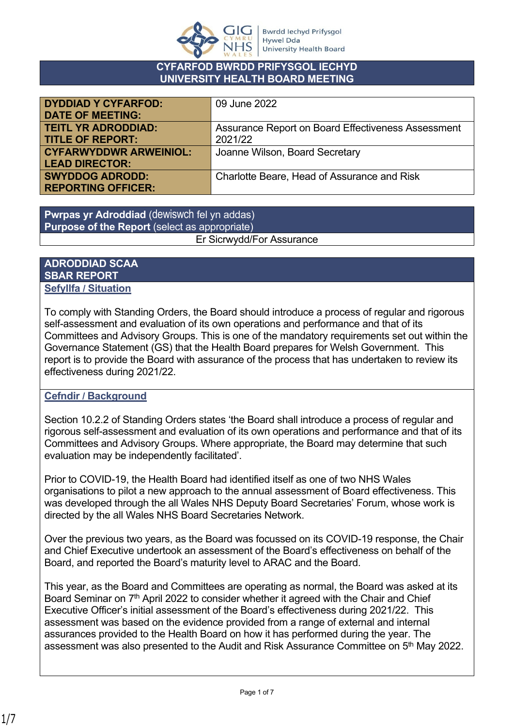

#### **CYFARFOD BWRDD PRIFYSGOL IECHYD UNIVERSITY HEALTH BOARD MEETING**

| <b>DYDDIAD Y CYFARFOD:</b>    | 09 June 2022                                       |
|-------------------------------|----------------------------------------------------|
| <b>DATE OF MEETING:</b>       |                                                    |
| <b>TEITL YR ADRODDIAD:</b>    | Assurance Report on Board Effectiveness Assessment |
| <b>TITLE OF REPORT:</b>       | 2021/22                                            |
| <b>CYFARWYDDWR ARWEINIOL:</b> | Joanne Wilson, Board Secretary                     |
| <b>LEAD DIRECTOR:</b>         |                                                    |
| <b>SWYDDOG ADRODD:</b>        | Charlotte Beare, Head of Assurance and Risk        |
| <b>REPORTING OFFICER:</b>     |                                                    |

**Pwrpas yr Adroddiad** (dewiswch fel yn addas) **Purpose of the Report** (select as appropriate) Er Sicrwydd/For Assurance

#### **ADRODDIAD SCAA SBAR REPORT Sefyllfa / Situation**

To comply with Standing Orders, the Board should introduce a process of regular and rigorous self-assessment and evaluation of its own operations and performance and that of its Committees and Advisory Groups. This is one of the mandatory requirements set out within the Governance Statement (GS) that the Health Board prepares for Welsh Government. This report is to provide the Board with assurance of the process that has undertaken to review its effectiveness during 2021/22.

# **Cefndir / Background**

Section 10.2.2 of Standing Orders states 'the Board shall introduce a process of regular and rigorous self-assessment and evaluation of its own operations and performance and that of its Committees and Advisory Groups. Where appropriate, the Board may determine that such evaluation may be independently facilitated'.

Prior to COVID-19, the Health Board had identified itself as one of two NHS Wales organisations to pilot a new approach to the annual assessment of Board effectiveness. This was developed through the all Wales NHS Deputy Board Secretaries' Forum, whose work is directed by the all Wales NHS Board Secretaries Network.

Over the previous two years, as the Board was focussed on its COVID-19 response, the Chair and Chief Executive undertook an assessment of the Board's effectiveness on behalf of the Board, and reported the Board's maturity level to ARAC and the Board.

This year, as the Board and Committees are operating as normal, the Board was asked at its Board Seminar on 7<sup>th</sup> April 2022 to consider whether it agreed with the Chair and Chief Executive Officer's initial assessment of the Board's effectiveness during 2021/22. This assessment was based on the evidence provided from a range of external and internal assurances provided to the Health Board on how it has performed during the year. The assessment was also presented to the Audit and Risk Assurance Committee on 5<sup>th</sup> May 2022.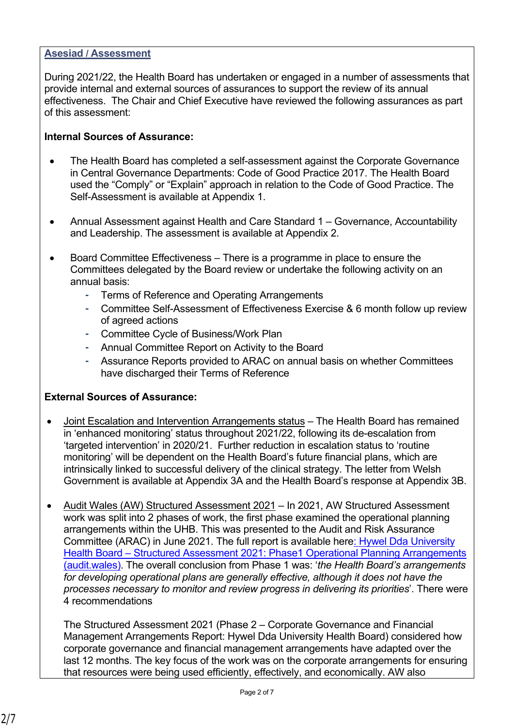## **Asesiad / Assessment**

During 2021/22, the Health Board has undertaken or engaged in a number of assessments that provide internal and external sources of assurances to support the review of its annual effectiveness. The Chair and Chief Executive have reviewed the following assurances as part of this assessment:

## **Internal Sources of Assurance:**

- The Health Board has completed a self-assessment against the Corporate Governance in Central Governance Departments: Code of Good Practice 2017. The Health Board used the "Comply" or "Explain" approach in relation to the Code of Good Practice. The Self-Assessment is available at Appendix 1.
- Annual Assessment against Health and Care Standard 1 Governance, Accountability and Leadership. The assessment is available at Appendix 2.
- Board Committee Effectiveness There is a programme in place to ensure the Committees delegated by the Board review or undertake the following activity on an annual basis:
	- Terms of Reference and Operating Arrangements
	- Committee Self-Assessment of Effectiveness Exercise & 6 month follow up review of agreed actions
	- Committee Cycle of Business/Work Plan
	- Annual Committee Report on Activity to the Board
	- Assurance Reports provided to ARAC on annual basis on whether Committees have discharged their Terms of Reference

# **External Sources of Assurance:**

- Joint Escalation and Intervention Arrangements status The Health Board has remained in 'enhanced monitoring' status throughout 2021/22, following its de-escalation from 'targeted intervention' in 2020/21. Further reduction in escalation status to 'routine monitoring' will be dependent on the Health Board's future financial plans, which are intrinsically linked to successful delivery of the clinical strategy. The letter from Welsh Government is available at Appendix 3A and the Health Board's response at Appendix 3B.
- Audit Wales (AW) Structured Assessment 2021 In 2021, AW Structured Assessment work was split into 2 phases of work, the first phase examined the operational planning arrangements within the UHB. This was presented to the Audit and Risk Assurance Committee (ARAC) in June 2021. The full report is available here[: Hywel Dda University](https://www.audit.wales/sites/default/files/publications/hywel_dda_health_board_2021_stuctured_assessment_phase_one_english.pdf)  Health Board – Structured Assessment 2021: Phase1 Operational Planning Arrangements [\(audit.wales\).](https://www.audit.wales/sites/default/files/publications/hywel_dda_health_board_2021_stuctured_assessment_phase_one_english.pdf) The overall conclusion from Phase 1 was: '*the Health Board's arrangements*  for developing operational plans are generally effective, although it does not have the *processes necessary to monitor and review progress in delivering its priorities*'. There were 4 recommendations

The Structured Assessment 2021 (Phase 2 – Corporate Governance and Financial Management Arrangements Report: Hywel Dda University Health Board) considered how corporate governance and financial management arrangements have adapted over the last 12 months. The key focus of the work was on the corporate arrangements for ensuring that resources were being used efficiently, effectively, and economically. AW also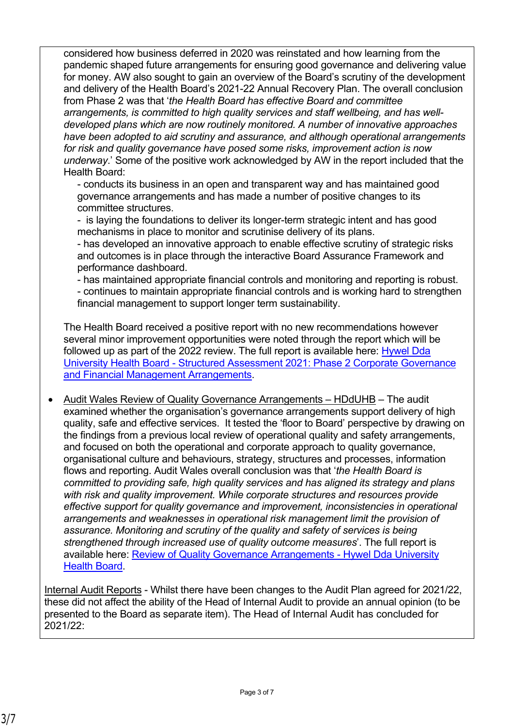considered how business deferred in 2020 was reinstated and how learning from the pandemic shaped future arrangements for ensuring good governance and delivering value for money. AW also sought to gain an overview of the Board's scrutiny of the development and delivery of the Health Board's 2021-22 Annual Recovery Plan. The overall conclusion from Phase 2 was that '*the Health Board has effective Board and committee arrangements, is committed to high quality services and staff wellbeing, and has welldeveloped plans which are now routinely monitored. A number of innovative approaches have been adopted to aid scrutiny and assurance, and although operational arrangements for risk and quality governance have posed some risks, improvement action is now underway*.' Some of the positive work acknowledged by AW in the report included that the Health Board:

- conducts its business in an open and transparent way and has maintained good governance arrangements and has made a number of positive changes to its committee structures.

- is laying the foundations to deliver its longer-term strategic intent and has good mechanisms in place to monitor and scrutinise delivery of its plans.

- has developed an innovative approach to enable effective scrutiny of strategic risks and outcomes is in place through the interactive Board Assurance Framework and performance dashboard.

- has maintained appropriate financial controls and monitoring and reporting is robust.

- continues to maintain appropriate financial controls and is working hard to strengthen financial management to support longer term sustainability.

The Health Board received a positive report with no new recommendations however several minor improvement opportunities were noted through the report which will be followed up as part of the 2022 review. The full report is available here: [Hywel Dda](https://hduhb.nhs.wales/about-us/governance-arrangements/board-committees/audit-and-risk-assurance-committee-arac/audit-and-risk-assurance-committee-22-february-2022/item-4-2-structured-assessment-2021-phase-two-corporate-governance-and-financial/)  [University Health Board - Structured Assessment 2021: Phase 2 Corporate Governance](https://hduhb.nhs.wales/about-us/governance-arrangements/board-committees/audit-and-risk-assurance-committee-arac/audit-and-risk-assurance-committee-22-february-2022/item-4-2-structured-assessment-2021-phase-two-corporate-governance-and-financial/)  [and Financial Management Arrangements.](https://hduhb.nhs.wales/about-us/governance-arrangements/board-committees/audit-and-risk-assurance-committee-arac/audit-and-risk-assurance-committee-22-february-2022/item-4-2-structured-assessment-2021-phase-two-corporate-governance-and-financial/)

• Audit Wales Review of Quality Governance Arrangements – HDdUHB – The audit examined whether the organisation's governance arrangements support delivery of high quality, safe and effective services. It tested the 'floor to Board' perspective by drawing on the findings from a previous local review of operational quality and safety arrangements, and focused on both the operational and corporate approach to quality governance, organisational culture and behaviours, strategy, structures and processes, information flows and reporting. Audit Wales overall conclusion was that '*the Health Board is committed to providing safe, high quality services and has aligned its strategy and plans with risk and quality improvement. While corporate structures and resources provide effective support for quality governance and improvement, inconsistencies in operational arrangements and weaknesses in operational risk management limit the provision of assurance. Monitoring and scrutiny of the quality and safety of services is being strengthened through increased use of quality outcome measures*'. The full report is available here: [Review of Quality Governance Arrangements - Hywel Dda University](https://hduhb.nhs.wales/about-us/governance-arrangements/board-committees/audit-and-risk-assurance-committee-arac/audit-and-risk-assurance-committee-19-october-2021/item-4-6-quality-governance-arrangements/)  [Health Board.](https://hduhb.nhs.wales/about-us/governance-arrangements/board-committees/audit-and-risk-assurance-committee-arac/audit-and-risk-assurance-committee-19-october-2021/item-4-6-quality-governance-arrangements/)

Internal Audit Reports - Whilst there have been changes to the Audit Plan agreed for 2021/22, these did not affect the ability of the Head of Internal Audit to provide an annual opinion (to be presented to the Board as separate item). The Head of Internal Audit has concluded for 2021/22: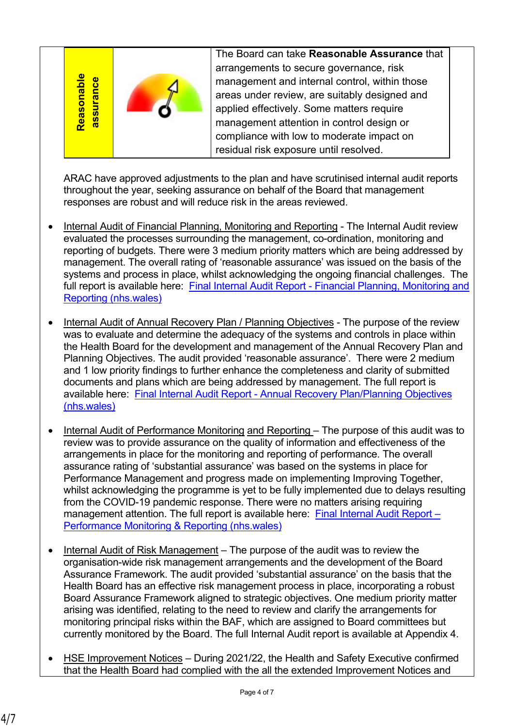| $\bullet$<br>leasonat |  | The Board can take Reasonable Assurance that<br>arrangements to secure governance, risk<br>management and internal control, within those<br>areas under review, are suitably designed and<br>applied effectively. Some matters require<br>management attention in control design or<br>compliance with low to moderate impact on<br>residual risk exposure until resolved. |  |
|-----------------------|--|----------------------------------------------------------------------------------------------------------------------------------------------------------------------------------------------------------------------------------------------------------------------------------------------------------------------------------------------------------------------------|--|
|-----------------------|--|----------------------------------------------------------------------------------------------------------------------------------------------------------------------------------------------------------------------------------------------------------------------------------------------------------------------------------------------------------------------------|--|

ARAC have approved adjustments to the plan and have scrutinised internal audit reports throughout the year, seeking assurance on behalf of the Board that management responses are robust and will reduce risk in the areas reviewed.

- Internal Audit of Financial Planning, Monitoring and Reporting The Internal Audit review evaluated the processes surrounding the management, co-ordination, monitoring and reporting of budgets. There were 3 medium priority matters which are being addressed by management. The overall rating of 'reasonable assurance' was issued on the basis of the systems and process in place, whilst acknowledging the ongoing financial challenges. The full report is available here: Final Internal Audit Report - Financial Planning, Monitoring and [Reporting \(nhs.wales\)](https://hduhb.nhs.wales/about-us/governance-arrangements/board-committees/audit-and-risk-assurance-committee-arac/audit-and-risk-assurance-committee-14-december-2021/item-6-4-financial-planning-monitoring-and-reporting-reasonable-assurance/)
- Internal Audit of Annual Recovery Plan / Planning Objectives The purpose of the review was to evaluate and determine the adequacy of the systems and controls in place within the Health Board for the development and management of the Annual Recovery Plan and Planning Objectives. The audit provided 'reasonable assurance'. There were 2 medium and 1 low priority findings to further enhance the completeness and clarity of submitted documents and plans which are being addressed by management. The full report is available here: [Final Internal Audit Report - Annual Recovery Plan/Planning Objectives](https://hduhb.nhs.wales/about-us/governance-arrangements/board-committees/audit-and-risk-assurance-committee-arac/audit-and-risk-assurance-committee-19-october-2021/item-7-10-annual-recovery-plan-and-planning-objectives-reasonable-assurance/)  [\(nhs.wales\)](https://hduhb.nhs.wales/about-us/governance-arrangements/board-committees/audit-and-risk-assurance-committee-arac/audit-and-risk-assurance-committee-19-october-2021/item-7-10-annual-recovery-plan-and-planning-objectives-reasonable-assurance/)
- Internal Audit of Performance Monitoring and Reporting The purpose of this audit was to review was to provide assurance on the quality of information and effectiveness of the arrangements in place for the monitoring and reporting of performance. The overall assurance rating of 'substantial assurance' was based on the systems in place for Performance Management and progress made on implementing Improving Together, whilst acknowledging the programme is yet to be fully implemented due to delays resulting from the COVID-19 pandemic response. There were no matters arising requiring management attention. The full report is available here: Final Internal Audit Report -[Performance Monitoring & Reporting \(nhs.wales\)](https://hduhb.nhs.wales/about-us/governance-arrangements/board-committees/audit-and-risk-assurance-committee-arac/audit-and-risk-assurance-committee-19-april-2022/item-711-performance-monitoring-and-reporting-substantial-assurance/)
- Internal Audit of Risk Management The purpose of the audit was to review the organisation-wide risk management arrangements and the development of the Board Assurance Framework. The audit provided 'substantial assurance' on the basis that the Health Board has an effective risk management process in place, incorporating a robust Board Assurance Framework aligned to strategic objectives. One medium priority matter arising was identified, relating to the need to review and clarify the arrangements for monitoring principal risks within the BAF, which are assigned to Board committees but currently monitored by the Board. The full Internal Audit report is available at Appendix 4.
- HSE Improvement Notices During 2021/22, the Health and Safety Executive confirmed that the Health Board had complied with the all the extended Improvement Notices and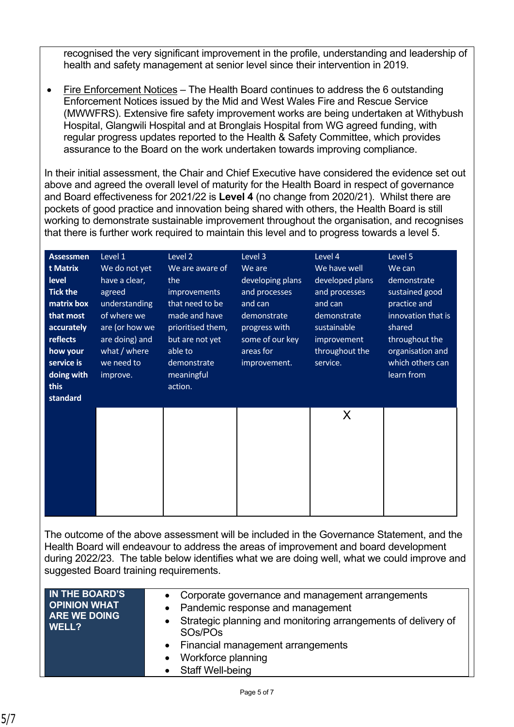recognised the very significant improvement in the profile, understanding and leadership of health and safety management at senior level since their intervention in 2019.

• Fire Enforcement Notices – The Health Board continues to address the 6 outstanding Enforcement Notices issued by the Mid and West Wales Fire and Rescue Service (MWWFRS). Extensive fire safety improvement works are being undertaken at Withybush Hospital, Glangwili Hospital and at Bronglais Hospital from WG agreed funding, with regular progress updates reported to the Health & Safety Committee, which provides assurance to the Board on the work undertaken towards improving compliance.

In their initial assessment, the Chair and Chief Executive have considered the evidence set out above and agreed the overall level of maturity for the Health Board in respect of governance and Board effectiveness for 2021/22 is **Level 4** (no change from 2020/21). Whilst there are pockets of good practice and innovation being shared with others, the Health Board is still working to demonstrate sustainable improvement throughout the organisation, and recognises that there is further work required to maintain this level and to progress towards a level 5.

| <b>Assessmen</b> | Level 1                                | Level 2           | Level 3          | Level 4                                                                               | Level 5                                                                                      |
|------------------|----------------------------------------|-------------------|------------------|---------------------------------------------------------------------------------------|----------------------------------------------------------------------------------------------|
| t Matrix         | We do not yet                          | We are aware of   | We are           | We have well                                                                          | We can                                                                                       |
| level            | have a clear,                          | the               | developing plans | developed plans                                                                       | demonstrate                                                                                  |
| <b>Tick the</b>  | agreed                                 | improvements      | and processes    | and processes                                                                         | sustained good                                                                               |
| matrix box       | understanding                          | that need to be   | and can          | and can                                                                               | practice and                                                                                 |
| that most        | of where we                            | made and have     | demonstrate      | demonstrate                                                                           | innovation that is                                                                           |
| accurately       | are (or how we                         | prioritised them, | progress with    | sustainable                                                                           | shared                                                                                       |
| reflects         | are doing) and                         | but are not yet   | some of our key  | improvement                                                                           | throughout the                                                                               |
| how your         | what / where                           | able to           | areas for        | throughout the                                                                        | organisation and                                                                             |
| service is       | we need to                             | demonstrate       | improvement.     | service.                                                                              | which others can                                                                             |
| doing with       | improve.                               | meaningful        |                  |                                                                                       | learn from                                                                                   |
| this             |                                        | action.           |                  |                                                                                       |                                                                                              |
| standard         |                                        |                   |                  |                                                                                       |                                                                                              |
|                  |                                        |                   |                  | X                                                                                     |                                                                                              |
|                  |                                        |                   |                  |                                                                                       |                                                                                              |
|                  |                                        |                   |                  |                                                                                       |                                                                                              |
|                  |                                        |                   |                  |                                                                                       |                                                                                              |
|                  |                                        |                   |                  |                                                                                       |                                                                                              |
|                  |                                        |                   |                  |                                                                                       |                                                                                              |
|                  |                                        |                   |                  |                                                                                       |                                                                                              |
|                  |                                        |                   |                  |                                                                                       |                                                                                              |
|                  |                                        |                   |                  |                                                                                       |                                                                                              |
|                  |                                        |                   |                  |                                                                                       |                                                                                              |
|                  |                                        |                   |                  |                                                                                       | The outcome of the above assessment will be included in the Governance Statement, and the    |
|                  |                                        |                   |                  | Health Board will endeavour to address the areas of improvement and board development |                                                                                              |
|                  |                                        |                   |                  |                                                                                       | during 2022/23. The table below identifies what we are doing well, what we could improve and |
|                  | suggested Board training requirements. |                   |                  |                                                                                       |                                                                                              |

| IN THE BOARD'S<br><b>OPINION WHAT</b> | • Corporate governance and management arrangements<br>• Pandemic response and management            |
|---------------------------------------|-----------------------------------------------------------------------------------------------------|
| <b>ARE WE DOING</b><br>WELL?          | • Strategic planning and monitoring arrangements of delivery of<br>SO <sub>s</sub> /PO <sub>s</sub> |
|                                       | • Financial management arrangements                                                                 |
|                                       | Workforce planning<br>$\bullet$                                                                     |
|                                       | • Staff Well-being                                                                                  |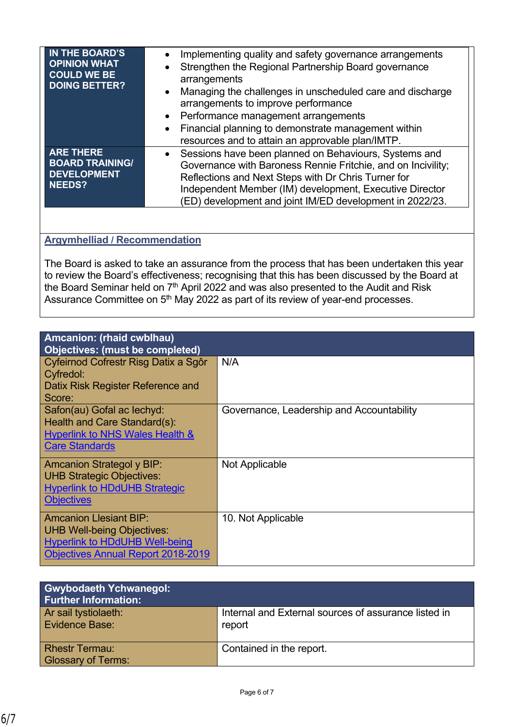| IN THE BOARD'S<br><b>OPINION WHAT</b><br><b>COULD WE BE</b><br><b>DOING BETTER?</b> | Implementing quality and safety governance arrangements<br>$\bullet$<br>Strengthen the Regional Partnership Board governance<br>$\bullet$<br>arrangements<br>Managing the challenges in unscheduled care and discharge<br>$\bullet$<br>arrangements to improve performance<br>• Performance management arrangements<br>Financial planning to demonstrate management within<br>$\bullet$<br>resources and to attain an approvable plan/IMTP. |
|-------------------------------------------------------------------------------------|---------------------------------------------------------------------------------------------------------------------------------------------------------------------------------------------------------------------------------------------------------------------------------------------------------------------------------------------------------------------------------------------------------------------------------------------|
| <b>ARE THERE</b><br><b>BOARD TRAINING/</b><br><b>DEVELOPMENT</b><br><b>NEEDS?</b>   | Sessions have been planned on Behaviours, Systems and<br>$\bullet$<br>Governance with Baroness Rennie Fritchie, and on Incivility;<br>Reflections and Next Steps with Dr Chris Turner for<br>Independent Member (IM) development, Executive Director<br>(ED) development and joint IM/ED development in 2022/23.                                                                                                                            |

## **Argymhelliad / Recommendation**

The Board is asked to take an assurance from the process that has been undertaken this year to review the Board's effectiveness; recognising that this has been discussed by the Board at the Board Seminar held on 7<sup>th</sup> April 2022 and was also presented to the Audit and Risk Assurance Committee on 5<sup>th</sup> May 2022 as part of its review of year-end processes.

| Amcanion: (rhaid cwblhau)<br><b>Objectives: (must be completed)</b>                                                                                      |                                           |  |
|----------------------------------------------------------------------------------------------------------------------------------------------------------|-------------------------------------------|--|
| Cyfeirnod Cofrestr Risg Datix a Sgôr<br>Cyfredol:                                                                                                        | N/A                                       |  |
| Datix Risk Register Reference and<br>Score:                                                                                                              |                                           |  |
| Safon(au) Gofal ac lechyd:<br>Health and Care Standard(s):<br><b>Hyperlink to NHS Wales Health &amp;</b><br><b>Care Standards</b>                        | Governance, Leadership and Accountability |  |
| <b>Amcanion Strategol y BIP:</b><br><b>UHB Strategic Objectives:</b><br><b>Hyperlink to HDdUHB Strategic</b><br><b>Objectives</b>                        | Not Applicable                            |  |
| <b>Amcanion Llesiant BIP:</b><br><b>UHB Well-being Objectives:</b><br><b>Hyperlink to HDdUHB Well-being</b><br><b>Objectives Annual Report 2018-2019</b> | 10. Not Applicable                        |  |

| <b>Gwybodaeth Ychwanegol:</b><br><b>Further Information:</b> |                                                                |
|--------------------------------------------------------------|----------------------------------------------------------------|
| Ar sail tystiolaeth:<br>Evidence Base:                       | Internal and External sources of assurance listed in<br>report |
| <b>Rhestr Termau:</b><br><b>Glossary of Terms:</b>           | Contained in the report.                                       |